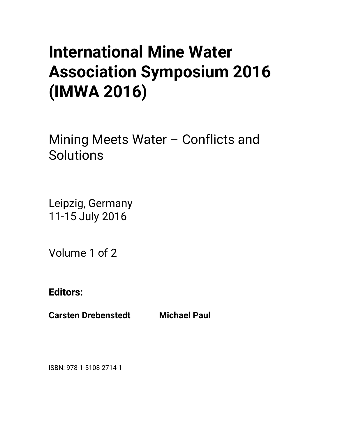# **International Mine Water Association Symposium 2016 (IMWA 2016)**

Mining Meets Water – Conflicts and Solutions

Leipzig, Germany 11-15 July 2016

Volume 1 of 2

**Editors:** 

**Carsten Drebenstedt Michael Paul** 

ISBN: 978-1-5108-2714-1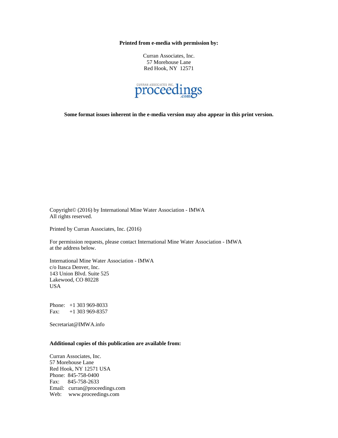**Printed from e-media with permission by:** 

Curran Associates, Inc. 57 Morehouse Lane Red Hook, NY 12571



**Some format issues inherent in the e-media version may also appear in this print version.** 

Copyright© (2016) by International Mine Water Association - IMWA All rights reserved.

Printed by Curran Associates, Inc. (2016)

For permission requests, please contact International Mine Water Association - IMWA at the address below.

International Mine Water Association - IMWA c/o Itasca Denver, Inc. 143 Union Blvd. Suite 525 Lakewood, CO 80228 USA

Phone: +1 303 969-8033 Fax: +1 303 969-8357

Secretariat@IMWA.info

### **Additional copies of this publication are available from:**

Curran Associates, Inc. 57 Morehouse Lane Red Hook, NY 12571 USA Phone: 845-758-0400 Fax: 845-758-2633 Email: curran@proceedings.com Web: www.proceedings.com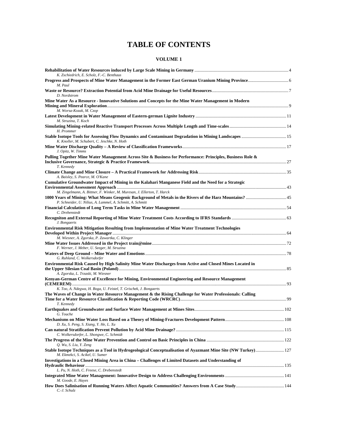# **TABLE OF CONTENTS**

## **VOLUME 1**

| K. Zschiedrich, E. Scholz, F.-C. Benthaus                                                                                                                                                   |  |
|---------------------------------------------------------------------------------------------------------------------------------------------------------------------------------------------|--|
| M. Paul                                                                                                                                                                                     |  |
| D. Nordstrom                                                                                                                                                                                |  |
| Mine Water As a Resource - Innovative Solutions and Concepts for the Mine Water Management in Modern<br>M. Worsa-Kozak, M. Czop                                                             |  |
| M. Struzina, T. Koch                                                                                                                                                                        |  |
| H. Prommer                                                                                                                                                                                  |  |
| K. Knoller, M. Schubert, C. Jeschke, N. Hoth                                                                                                                                                |  |
| J. Opitz, W. Timms                                                                                                                                                                          |  |
| Pulling Together Mine Water Management Across Site & Business for Performance: Principles, Business Role &<br>T. Kennedy                                                                    |  |
| A. Baisley, S. Pearce, M. O'Kane                                                                                                                                                            |  |
| Cumulative Groundwater Impact of Mining in the Kalahari Manganese Field and the Need for a Strategic                                                                                        |  |
| M. Zingelmann, A. Bittner, F. Winker, M. Muresan, J. Ellerton, T. Harck<br>P. Schneider, U. Nilius, A. Lammel, A. Schmitt, A. Schmitt                                                       |  |
| C. Drebenstedt                                                                                                                                                                              |  |
| J. Bongaerts                                                                                                                                                                                |  |
| Environmental Risk Mitigation Resulting from Implementation of Mine Water Treatment Technologies<br>M. Wiesner, A. Zgorska, P. Zawartka, C. Klinger                                         |  |
| F. Werner, J. Meber, U. Seeger, M. Struzina                                                                                                                                                 |  |
| G. Ruhland, C. Wolkersdorfer                                                                                                                                                                |  |
| Environmental Risk Caused by High Salinity Mine Water Discharges from Active and Closed Mines Located in<br>A. Zgorska, L. Trzaski, M. Wiesner                                              |  |
| Kenyan-German Centre of Excellence for Mining, Environmental Engineering and Resource Management                                                                                            |  |
| K. Too, A. Ndegwa, H. Boga, U. Feistel, T. Grischek, J. Bongaerts<br>The Waves of Change in Water Resource Management & the Rising Challenge for Water Professionals: Calling<br>T. Kennedy |  |
| G. Touche                                                                                                                                                                                   |  |
| D. Xu, S. Peng, S. Xiang, Y. He, L. Xu                                                                                                                                                      |  |
| C. Wolkersdorfer, L. Shongwe, C. Schmidt                                                                                                                                                    |  |
| Q. Wu, S. Liu, Y. Zeng                                                                                                                                                                      |  |
| Stable Isotope Techniques as a Tool in Hydrogeological Conceptualisation of Ayazmant Mine Site (NW Turkey) 127<br>M. Ekmekci, S. Acikel, U. Sumer                                           |  |
| Investigations in a Closed Mining Area in China - Challenges of Limited Datasets and Understanding of                                                                                       |  |
| L. Pu, N. Hoth, C. Freese, C. Drebenstedt                                                                                                                                                   |  |
| M. Goode, E. Hayes<br>C.-J. Schulz                                                                                                                                                          |  |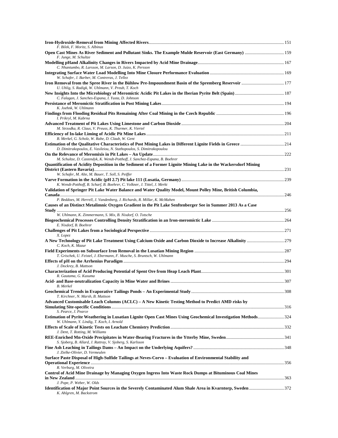| F. Bilek, F. Moritz, S. Albinus<br>Open Cast Mines As River Sediment and Pollutant Sinks. The Example Mulde Reservoir (East Germany)  159<br>F. Junge, M. Schultze                            |  |
|-----------------------------------------------------------------------------------------------------------------------------------------------------------------------------------------------|--|
| C. Nhantumbo, R. Larsson, M. Larson, D. Juizo, K. Persson                                                                                                                                     |  |
| W. Schafer, J. Barber, M. Contreras, J. Tellez                                                                                                                                                |  |
| U. Uhlig, S. Radigk, W. Uhlmann, V. Preub, T. Koch                                                                                                                                            |  |
| C. Falagan, J. Sanches-Espana, I. Yusta, D. Johnson                                                                                                                                           |  |
| K. Joehnk. W. Uhlmann                                                                                                                                                                         |  |
| I. Prikryl, M. Kabrna                                                                                                                                                                         |  |
| M. Strzodka, R. Claus, V. Preuss, K. Thurmer, K. Viertel                                                                                                                                      |  |
| B. Merkel, G. Scholz, W. Rabe, D. Claub, W. Gent                                                                                                                                              |  |
| D. Dimitrakopoulos, E. Vasileiou, N. Stathopoulos, S. Dimitrakopoulou                                                                                                                         |  |
|                                                                                                                                                                                               |  |
| M. Schultze, D. Castendyk, K. Wendt-Potthoff, J. Sanchez-Espana, B. Boehrer<br>Quantification of Acidity Deposition in the Sediment of a Former Lignite Mining Lake in the Wackersdorf Mining |  |
| W. Schafer, M. Alte, M. Bauer, T. Soll, S. Peiffer                                                                                                                                            |  |
| K. Wendt-Potthoff, B. Scharf, B. Boehrer, C. Volkner, J. Tittel, J. Merkt                                                                                                                     |  |
| Validation of Springer Pit Lake Water Balance and Water Quality Model, Mount Polley Mine, British Columbia,                                                                                   |  |
| P. Beddoes, M. Herrell, J. Vandenberg, J. Richards, R. Millar, K. McMahen                                                                                                                     |  |
| Causes of an Distinct Metalimnic Oxygen Gradient in the Pit Lake Senftenberger See in Summer 2013 As a Case                                                                                   |  |
| W. Uhlmann, K. Zimmermann, S. Mix, B. Nixdorf, O. Totsche<br>E. Nixdorf, B. Boehrer                                                                                                           |  |
| X. Lopez                                                                                                                                                                                      |  |
| C. Koch, K. Mazur                                                                                                                                                                             |  |
| T. Grischek, U. Feistel, J. Ebermann, F. Musche, S. Bruntsch, W. Uhlmann                                                                                                                      |  |
| J. Dockrey, B. Mattson                                                                                                                                                                        |  |
| R. Gautama, G. Kusuma                                                                                                                                                                         |  |
| B. Merkel                                                                                                                                                                                     |  |
|                                                                                                                                                                                               |  |
| T. Kirchner, N. Marsh, B. Mattson<br>Advanced Customisable Leach Columns (ACLC) - A New Kinetic Testing Method to Predict AMD risks by                                                        |  |
| S. Pearce, J. Pearce                                                                                                                                                                          |  |
| Estimation of Pyrite Weathering in Lusatian Lignite Open Cast Mines Using Geochemical Investigation Methods324<br>W. Uhlmann, Y. Lindig, T. Koch, I. Arnold                                   |  |
| J. Dent, T. Rotting, M. Williams                                                                                                                                                              |  |
| S. Sjoberg, B. Allard, J. Rattray, V. Sjoberg, S. Karlsson                                                                                                                                    |  |
| J. Zielke-Olivier, D. Vermeulen                                                                                                                                                               |  |
| Surface Paste Disposal of High-Sulfide Tailings at Neves-Corvo – Evaluation of Environmental Stability and                                                                                    |  |
| R. Verburg, M. Oliveira                                                                                                                                                                       |  |
| Control of Acid Mine Drainage by Managing Oxygen Ingress Into Waste Rock Dumps at Bituminous Coal Mines                                                                                       |  |
| J. Pope, P. Weber, W. Olds<br>Identification of Major Point Sources in the Severely Contaminated Alum Shale Area in Kvarntorp, Sweden 372<br>K. Ahlgren, M. Backstrom                         |  |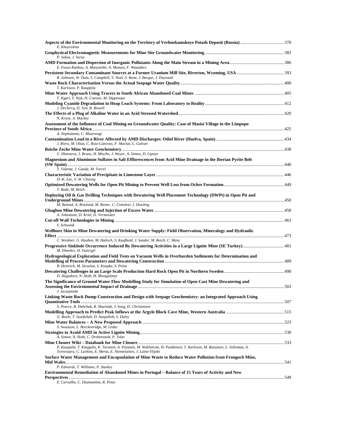| E. Khayrulina                                                                                                                                                                                 |     |
|-----------------------------------------------------------------------------------------------------------------------------------------------------------------------------------------------|-----|
| P. Saksa, J. Sorsa                                                                                                                                                                            |     |
| E. Fosso-Kankeu, A. Manyatshe, A. Munyai, F. Waanders                                                                                                                                         |     |
| R. Johnson, W. Dam, S. Campbell, V. Noel, S. Bone, J. Bargar, J. Dayvault                                                                                                                     |     |
| T. Karlsson, P. Kauppila                                                                                                                                                                      |     |
| T. Kgari, Y. Wyk, H. Coetzee, M. Dippenaar                                                                                                                                                    |     |
| J. Declercq, D. Tait, R. Bowell                                                                                                                                                               |     |
| N. Kruse, A. Mackey                                                                                                                                                                           |     |
| Assessment of the Influence of Coal Mining on Groundwater Quality: Case of Masisi Village in the Limpopo                                                                                      |     |
|                                                                                                                                                                                               |     |
| A. Nephalama, C. Muzerengi<br>J. Riera, M. Olias, C. Ruiz-Canovas, F. Macias, L. Galvan                                                                                                       |     |
|                                                                                                                                                                                               |     |
| V. Zhiteneva, J. Brune, H. Mischo, J. Weyer, A. Simon, D. Lipson                                                                                                                              |     |
| Magnesium and Aluminum Sulfates in Salt Efflorescences from Acid Mine Drainage in the Iberian Pyrite Belt<br>T. Valente, J. Gande, M. Torrel                                                  |     |
| D.-K. Lee, Y.-W. Cheong                                                                                                                                                                       |     |
| T. Rude, M. Reich                                                                                                                                                                             |     |
| Deploying Oil & Gas Drilling Techniques with Dewatering Well Placement Technology (DWPt) in Open Pit and                                                                                      |     |
| M. Boland, A. Rowland, M. Bester, C. Cintolesi, J. Dowling                                                                                                                                    |     |
|                                                                                                                                                                                               |     |
| A. Johnstone, D. Kriel, D. Vermeulen                                                                                                                                                          |     |
| S. Schwank                                                                                                                                                                                    |     |
| Wellbore Skin in Mine Dewatering and Drinking Water Supply: Field Observation, Mineralogy and Hydraulic                                                                                       |     |
| C. Weidner, G. Houben, M. Halisch, S. Kaufhold, J. Sander, M. Reich, C. Menz                                                                                                                  |     |
| M. Ekmekci, H. Yazicigil                                                                                                                                                                      |     |
| Hydrogeological Exploration and Field Tests on Vacuum Wells in Overburden Sediments for Determination and                                                                                     |     |
| B. Heinrich, M. Struzina, S. Knopke, S. Peine                                                                                                                                                 |     |
| D. Hagedorn, N. Hoth, H. Mwagalanyi                                                                                                                                                           |     |
| The Significance of Ground Water Flow Modelling Study for Simulation of Open Cast Mine Dewatering and                                                                                         | 503 |
| J. Szczepinski<br>Linking Waste Rock Dump Construction and Design with Seepage Geochemistry: an Integrated Approach Using                                                                     |     |
|                                                                                                                                                                                               |     |
| S. Pearce, B. Dobchuk, R. Shurniak, J. Song, D. Christensen                                                                                                                                   |     |
| G. Beale, T. Syaifullah, D. Saepulloh, S. Daley                                                                                                                                               |     |
| S. Swanson, L. Breckenridge, M. Leduc                                                                                                                                                         |     |
| A. Simon, N. Hoth, C. Drebenstedt, P. Jolas                                                                                                                                                   |     |
|                                                                                                                                                                                               |     |
| P. Kauppila, T. Kauppila, K. Turunen, A. Pasanen, M. Wahlstrom, H. Punkkinen, T. Karlsson, M. Raisanen, L. Solismaa, A.<br>Tornivaara, C. Larkins, E. Merta, E. Niemelainen, J. Laine-Ylijoki |     |
| Surface Water Management and Encapsulation of Mine Waste to Reduce Water Pollution from Frongoch Mine,                                                                                        |     |
| P. Edwards, T. Williams, P. Stanley                                                                                                                                                           |     |
| Environmental Remediation of Abandoned Mines in Portugal - Balance of 15 Years of Activity and New                                                                                            |     |
| E. Carvalho, C. Diamantino, R. Pinto                                                                                                                                                          |     |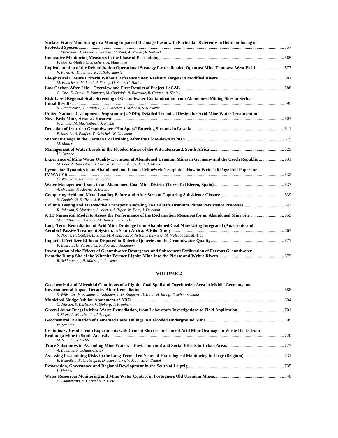| Surface Water Monitoring in a Mining Impacted Drainage Basin with Particular Reference to Bio-monitoring of                                                                       |  |
|-----------------------------------------------------------------------------------------------------------------------------------------------------------------------------------|--|
|                                                                                                                                                                                   |  |
| T. Metschies, H. Muller, S. Skriewe, M. Paul, A. Nowak, R. Sieland                                                                                                                |  |
|                                                                                                                                                                                   |  |
| P. Goerke-Mallet, C. Melchers, A. Muterthies                                                                                                                                      |  |
| Implementation of the Rehabilitation Operational Strategy for the flooded Opencast Mine Tamnava-West Field573                                                                     |  |
| V. Pavlovic, D. Ignjatovic, T. Subaranovic                                                                                                                                        |  |
| M. Blanchette, M. Lund, R. Stoney, D. Short, C. Harkin                                                                                                                            |  |
| G. Gzyl, D. Banks, P. Younger, M. Glodniok, N. Burnside, B. Garzon, A. Skalny                                                                                                     |  |
| Risk-based Regional Scale Screening of Groundwater Contamination from Abandoned Mining Sites in Serbia -                                                                          |  |
|                                                                                                                                                                                   |  |
| N. Atanackovic, V. Dragisic, V. Zivanovic, J. Strbacki, S. Ninkovic                                                                                                               |  |
| United Nations Development Programme (UNDP); Detailed Technical Design for Acid Mine Water Treatment in                                                                           |  |
|                                                                                                                                                                                   |  |
| N. Linder, M. Mackenbach, J. Novak                                                                                                                                                |  |
|                                                                                                                                                                                   |  |
| F. Musche, S. Paufler, T. Grischek, W. Uhlmann                                                                                                                                    |  |
| M. Muller                                                                                                                                                                         |  |
| H. Coetzee                                                                                                                                                                        |  |
| Experience of Mine Water Quality Evolution at Abandoned Uranium Mines in Germany and the Czech Republic  631<br>M. Paul, N. Rapantova, J. Wlosok, M. Licbinska, U. Jenk, J. Meyer |  |
| Pycnocline Dynamics in an Abandoned and Flooded MineStyle Template - How to Write a 6 Page Full Paper for                                                                         |  |
| G. Wieber, F. Enzmann, M. Kersten                                                                                                                                                 |  |
| A. Ordonez, R. Alvarez, J. Loredo                                                                                                                                                 |  |
| N. Daniels, N. Sullivan, J. Bowman                                                                                                                                                |  |
| R. Johnson, S. Morrison, S. Morris, A. Tigar, W. Dam, J. Dayvault                                                                                                                 |  |
| A 3D Numerical Model to Assess the Performance of the Reclamation Measures for an Abandoned Mine Site  655<br>M.-P. Ethier, B. Bussiere, M. Aubertin, S. Broda                    |  |
| Long-Term Remediation of Acid Mine Drainage from Abandoned Coal Mine Using Integrated (Anaerobic and                                                                              |  |
| N. Novhe, H. Coetzee, B. Yibas, M. Atanasova, R. Netshitungulwana, M. Molebogang, M. Tlou                                                                                         |  |
|                                                                                                                                                                                   |  |
| P. Lourens, D. Vermeulen, F. Fourie, J. Haumann                                                                                                                                   |  |
| Investigation of the Effects of Groundwater Resurgence and Subsequent Exfiltration of Ferrous Groundwater                                                                         |  |
| R. Schlottmann, H. Mansel, L. Luckner                                                                                                                                             |  |

### **VOLUME 2**

| Geochemical and Microbial Conditions of a Lignite Coal Spoil and Overburden Area in Middle Germany and      |  |
|-------------------------------------------------------------------------------------------------------------|--|
|                                                                                                             |  |
| S. Willscher, M. Schaum, J. Goldammer, D. Knippert, D. Kuhn, H. Ihling, T. Schaarschmidt                    |  |
|                                                                                                             |  |
| C. Nilsson, S. Karlsson, V. Sjoberg, T. Kronhelm                                                            |  |
|                                                                                                             |  |
| S. Siren, C. Maurice, L. Alakangas                                                                          |  |
|                                                                                                             |  |
| W. Schafer                                                                                                  |  |
| Preliminary Results from Experiments with Cement Slurries to Control Acid Mine Drainage in Waste Rocks from |  |
|                                                                                                             |  |
| M. Sephton, J. Webb                                                                                         |  |
|                                                                                                             |  |
| A. Banning, P. Schutte-Bestek                                                                               |  |
|                                                                                                             |  |
| R. Benedicta, F. Christophe, D. Jean-Pierre, V. Mathieu, P. Daniel                                          |  |
|                                                                                                             |  |
| L. Hahnel                                                                                                   |  |
|                                                                                                             |  |
| C. Diamantino, E. Carvalho, R. Pinto                                                                        |  |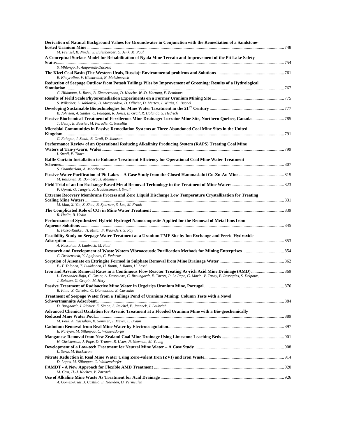| Derivation of Natural Background Values for Groundwater in Conjunction with the Remediation of a Sandstone-                     |  |
|---------------------------------------------------------------------------------------------------------------------------------|--|
| M. Frenzel, K. Nindel, S. Eulenberger, U. Jenk, M. Paul                                                                         |  |
| A Conceptual Surface Model for Rehabilitation of Nyala Mine Terrain and Improvement of the Pit Lake Safety                      |  |
| S. Mhlongo, F. Amponsah-Dacosta                                                                                                 |  |
|                                                                                                                                 |  |
| E. Khayrulina, V. Khmurchik, N. Maksimovich                                                                                     |  |
| Reduction of Seepage Outflow from Potash Tailings Piles by Improvement of Greening: Results of a Hydrological                   |  |
| C. Hildmann, L. Rosel, B. Zimmermann, D. Knoche, W.-D. Hartung, F. Benthaus                                                     |  |
|                                                                                                                                 |  |
| S. Willscher, L. Jablonski, D. Mirgorodski, D. Ollivier, D. Merten, J. Wittig, G. Buchel                                        |  |
| B. Johnson, A. Santos, C. Falagan, R. Jones, B. Grail, R. Holanda, S. Hedrich                                                   |  |
| T. Genty, B. Bussier, M. Paradie, C. Neculita                                                                                   |  |
| Microbial Communities in Passive Remediation Systems at Three Abandoned Coal Mine Sites in the United                           |  |
| C. Falagan, I. Smail, B. Grail, D. Johnson                                                                                      |  |
| Performance Review of an Operational Reducing Alkalinity Producing System (RAPS) Treating Coal Mine                             |  |
|                                                                                                                                 |  |
| I. Smail, P. Thorn<br>Baffle Curtain Installation to Enhance Treatment Efficiency for Operational Coal Mine Water Treatment     |  |
|                                                                                                                                 |  |
| S. Chamberlain, A. Moorhouse                                                                                                    |  |
| M. Raisanen, M. Bomberg, J. Makinen                                                                                             |  |
| P. Upreti, G. Tangyie, K. Huddersman, I. Smail                                                                                  |  |
| Extreme Recovery Membrane Process and Zero Liquid Discharge Low Temperature Crystallization for Treating                        |  |
|                                                                                                                                 |  |
| M. Man, X. Yin, Z. Zhou, B. Sparrow, S. Lee, M. Frank                                                                           |  |
| R. Hedin, B. Hedin                                                                                                              |  |
| Performance of Synthesized Hybrid Hydrogel Nanocomposite Applied for the Removal of Metal Ions from                             |  |
| E. Fosso-Kankeu, H. Mittal, F. Waanders, S. Ray                                                                                 |  |
| Feasibility Study on Seepage Water Treatment at a Uranium TMF Site by Ion Exchange and Ferric Hydroxide                         |  |
|                                                                                                                                 |  |
| A. Kassahun, J. Laubrich, M. Paul                                                                                               |  |
| C. Drebenstedt, Y. Agafonov, G. Fedorov                                                                                         |  |
|                                                                                                                                 |  |
| E.-T. Tolonen, T. Luukkonen, H. Runtti, J. Ramo, U. Lassi                                                                       |  |
| L. Fernandez-Rojo, C. Casiot, A. Desoeuvre, C. Braungardt, E. Torres, P. Le Pape, G. Morin, V. Tardy, E. Resongles, S. Delpoux, |  |
| J. Boisson, G. Grapin, M. Hery                                                                                                  |  |
| R. Pinto, Z. Oliveira, C. Diamantino, E. Carvalho                                                                               |  |
| Treatment of Seepage Water from a Tailings Pond of Uranium Mining: Column Tests with a Novel                                    |  |
| D. Burghardt, J. Richter, E. Simon, S. Reichel, E. Janneck, J. Laubrich                                                         |  |
| Advanced Chemical Oxidation for Arsenic Treatment at a Flooded Uranium Mine with a Bio-geochemically                            |  |
|                                                                                                                                 |  |
| M. Paul, A. Kassahun, K. Sommer, J. Meyer, L. Braun                                                                             |  |
| E. Nariyan, M. Sillanpaa, C. Wolkersdorfer                                                                                      |  |
|                                                                                                                                 |  |
| H. Christenson, J. Pope, D. Trumm, B. Uster, N. Newman, M. Young                                                                |  |
| L. Sartz, M. Backstrom                                                                                                          |  |
|                                                                                                                                 |  |
| D. Lopes, M. Sillanpaa, C. Wolkersdorfer                                                                                        |  |
| M. Gast, H.-J. Kochen, V. Zarrach                                                                                               |  |
|                                                                                                                                 |  |
| A. Gomez-Arias, J. Castillo, E. Heerden, D. Vermeulen                                                                           |  |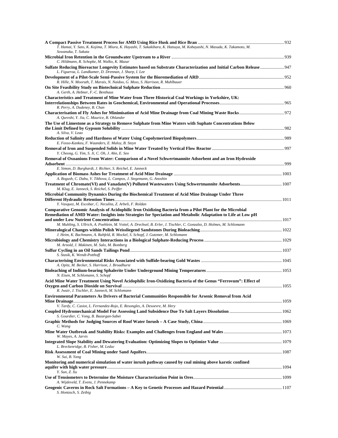| T. Hamai, Y. Sato, K. Kojima, T. Miura, K. Hayashi, T. Sakakibara, K. Hatsuya, M. Kobayashi, N. Masuda, K. Takamoto, M.                                                              |  |
|--------------------------------------------------------------------------------------------------------------------------------------------------------------------------------------|--|
| Sowanaka, T. Sakata                                                                                                                                                                  |  |
| C. Hildmann, R. Schopke, M. Walko, K. Mazur                                                                                                                                          |  |
| L. Figueroa, L. Landkamer, D. Drennan, J. Sharp, I. Lee                                                                                                                              |  |
| R. Hille, N. Mooruth, T. Marais, N. Naidoo, G. Moss, S. Harrison, R. Muhlbauer                                                                                                       |  |
|                                                                                                                                                                                      |  |
| A. Gerth, A. Hebner, F.-C. Benthaus<br>Characteristics and Treatment of Mine Water from Three Historical Coal Workings in Yorkshire, UK:                                             |  |
| R. Perry, A. Dudeney, B. Chan                                                                                                                                                        |  |
| A. Qureshi, Y. Jia, C. Maurice, B. Ohlander                                                                                                                                          |  |
| The Use of Limestone as a Strategy to Remove Sulphate from Mine Waters with Suphate Concentrations Below<br>A. Silva, V. Leao                                                        |  |
| E. Fosso-Kankeu, F. Waanders, E. Maloy, B. Steyn                                                                                                                                     |  |
| Y. Cheong, G. Yim, S. Ji, C. Oh, J. Ahn, E. Seo                                                                                                                                      |  |
| Removal of Oxoanions From Water: Comparison of a Novel Schwertmannite Adsorbent and an Iron Hydroxide                                                                                |  |
| E. Simon, D. Burghardt, J. Richter, S. Reichel, E. Janneck                                                                                                                           |  |
|                                                                                                                                                                                      |  |
| A. Bogush, C. Dabu, V. Tikhova, L. Campos, J. Stegemann, G. Anoshin                                                                                                                  |  |
| M. Klug, E. Janneck, S. Reichel, S. Peiffer                                                                                                                                          |  |
| Microbial Community Dynamics During the Biochemical Treatment of Acid Mine Drainage Under Three<br>Y. Vasquez, M. Escobar, C. Neculita, Z. Arbeli, F. Roldan                         |  |
| Comparative Genomic Analysis of Acidophilic Iron Oxidizing Bacteria from a Pilot Plant for the Microbial                                                                             |  |
| Remediation of AMD Water: Insights into Strategies for Speciation and Metabolic Adaptation to Life at Low pH                                                                         |  |
| M. Muhling, S. Ullrich, A. Poehlein, M. Voitel, A. Drechsel, B. Erler, J. Tischler, C. Gonzalez, D. Holmes, M. Schlomann                                                             |  |
| J. Heim, K. Bachmann, A. Rahfeld, R. Mockel, S. Schopf, J. Gutzmer, M. Schlomann                                                                                                     |  |
|                                                                                                                                                                                      |  |
| M. Arnold, J. Makinen, M. Salo, M. Bomberg                                                                                                                                           |  |
| S. Stasik, K. Wendt-Potthoff                                                                                                                                                         |  |
| A. Opitz, M. Becker, S. Harrison, J. Broadhurst                                                                                                                                      |  |
| N. Eisen, M. Schlomann, S. Schopf                                                                                                                                                    |  |
| Acid Mine Water Treatment Using Novel Acidophilic Iron-Oxidizing Bacteria of the Genus "Ferrovum": Effect of                                                                         |  |
| R. Jwair, J. Tischler, E. Janneck, M. Schlomann                                                                                                                                      |  |
| Environmental Parameters As Drivers of Bacterial Communities Responsible for Arsenic Removal from Acid<br>V. Tardy, C. Casiot, L. Fernandez-Rojo, E. Resongles, A. Desoevre, M. Hery |  |
| S. Gourdier, C. Vong, B. Bazargan-Sabet                                                                                                                                              |  |
| C. Wang                                                                                                                                                                              |  |
| W. Mayes, A. Jarvis                                                                                                                                                                  |  |
| L. Breckenridge, B. Fisher, M. Leduc                                                                                                                                                 |  |
| W. Sui, B. Yang                                                                                                                                                                      |  |
| Monitoring and numerical simulation of water inrush pathway caused by coal mining above karstic confined                                                                             |  |
| Y. Sun, Z. Xu                                                                                                                                                                        |  |
| A. Wijdeveld, T. Evens, J. Pennekamp                                                                                                                                                 |  |
| S. Hontzsch, S. Zeibig                                                                                                                                                               |  |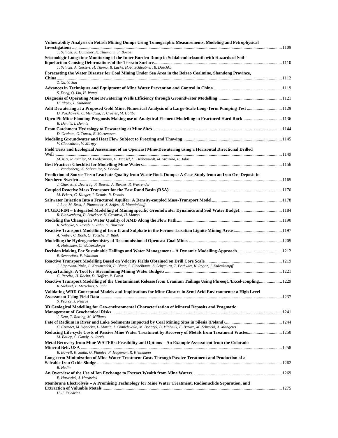| T. Schicht, K. Dunnbier, K. Thiemann, F. Borne<br>T. Schicht, A. Gessert, H. Thoma, B. Lucke, H.-P. Schleubner, B. Duschka<br>Forecasting the Water Disaster for Coal Mining Under Sea Area in the Beizao Coalmine, Shandong Province,<br>Z. Xu, Y. Sun<br>S. Dong, Q. Liu, H. Wang<br>H. Idrysy, L. Sultanov<br>Adit Dewatering at a Proposed Gold Mine: Numerical Analysis of a Large-Scale Long-Term Pumping Test  1129<br>D. Paszkowski, C. Mendoza, T. Crozier, M. Holtby<br>R. Dennis, I. Dennis<br>D. Graham, C. Tomsu, E. Martensson<br>V. Clausnitzer, V. Mirnyy<br>M. Nitz, R. Eichler, M. Biedermann, H. Mansel, C. Drebenstedt, M. Struzina, P. Jolas<br>J. Vandenberg, K. Salzsauler, S. Donald<br>J. Charles, J. Declercq, R. Bowell, A. Barnes, R. Warrender<br>M. Eckart, C. Klinger, I. Dennis, R. Dennis<br>J. Luo, M. Beek, J. Plumacher, S. Seifert, B. Monninkhoff<br>R. Blankenburg, F. Bruckner, H. Ceranski, H. Mansel<br>R. Schopke, V. Preub, L. Zahn, K. Thurmer<br>A. Weber, C. Koch, O. Totsche, F. Bilek<br>A. Huisamen, C. Wolkersdorfer<br>B. Sennerfors, P. Wallman<br>J. Lippmann-Pipke, L. Karimzadeh, P. Blanc, S. Eichelbaum, S. Schymura, T. Fruhwirt, K. Rogoz, J. Kulenkampff<br>G. Pereira, H. Rocha, D. Hoffert, P. Paiva<br>Reactive Transport Modelling of the Contaminant Release from Uranium Tailings Using PhreeqC/Excel-coupling 1229<br>R. Sieland, T. Metschies, S. Jahn<br>Validating WRD Conceptual Models and Implications for Mine Closure in Semi Arid Environments: a High Level<br>S. Pearce, J. Pearce<br>J. Dent, T. Rotting, M. Williams<br>C. Courbet, M. Wysocka, L. Martin, I. Chmielewska, M. Bonczyk, B. Michalik, E. Barker, M. Zebracki, A. Mangeret<br>M. Bailey, C. Gandy, A. Jarvis<br>R. Bowell, K. Smith, G. Plumlee, P. Hageman, R. Kleinmann<br>R. Hedin<br>E. Hardwick, J. Hardwick<br>H.-J. Friedrich | Vulnerability Analysis on Potash Mining Dumps Using Tomographic Measurements, Modeling and Petrophysical    |  |
|------------------------------------------------------------------------------------------------------------------------------------------------------------------------------------------------------------------------------------------------------------------------------------------------------------------------------------------------------------------------------------------------------------------------------------------------------------------------------------------------------------------------------------------------------------------------------------------------------------------------------------------------------------------------------------------------------------------------------------------------------------------------------------------------------------------------------------------------------------------------------------------------------------------------------------------------------------------------------------------------------------------------------------------------------------------------------------------------------------------------------------------------------------------------------------------------------------------------------------------------------------------------------------------------------------------------------------------------------------------------------------------------------------------------------------------------------------------------------------------------------------------------------------------------------------------------------------------------------------------------------------------------------------------------------------------------------------------------------------------------------------------------------------------------------------------------------------------------------------------------------------|-------------------------------------------------------------------------------------------------------------|--|
|                                                                                                                                                                                                                                                                                                                                                                                                                                                                                                                                                                                                                                                                                                                                                                                                                                                                                                                                                                                                                                                                                                                                                                                                                                                                                                                                                                                                                                                                                                                                                                                                                                                                                                                                                                                                                                                                                    |                                                                                                             |  |
|                                                                                                                                                                                                                                                                                                                                                                                                                                                                                                                                                                                                                                                                                                                                                                                                                                                                                                                                                                                                                                                                                                                                                                                                                                                                                                                                                                                                                                                                                                                                                                                                                                                                                                                                                                                                                                                                                    | Seismologic Long-time Monitoring of the Inner Burden Dump in Schlabendorf/south with Hazards of Soil-       |  |
|                                                                                                                                                                                                                                                                                                                                                                                                                                                                                                                                                                                                                                                                                                                                                                                                                                                                                                                                                                                                                                                                                                                                                                                                                                                                                                                                                                                                                                                                                                                                                                                                                                                                                                                                                                                                                                                                                    |                                                                                                             |  |
|                                                                                                                                                                                                                                                                                                                                                                                                                                                                                                                                                                                                                                                                                                                                                                                                                                                                                                                                                                                                                                                                                                                                                                                                                                                                                                                                                                                                                                                                                                                                                                                                                                                                                                                                                                                                                                                                                    |                                                                                                             |  |
|                                                                                                                                                                                                                                                                                                                                                                                                                                                                                                                                                                                                                                                                                                                                                                                                                                                                                                                                                                                                                                                                                                                                                                                                                                                                                                                                                                                                                                                                                                                                                                                                                                                                                                                                                                                                                                                                                    |                                                                                                             |  |
|                                                                                                                                                                                                                                                                                                                                                                                                                                                                                                                                                                                                                                                                                                                                                                                                                                                                                                                                                                                                                                                                                                                                                                                                                                                                                                                                                                                                                                                                                                                                                                                                                                                                                                                                                                                                                                                                                    |                                                                                                             |  |
|                                                                                                                                                                                                                                                                                                                                                                                                                                                                                                                                                                                                                                                                                                                                                                                                                                                                                                                                                                                                                                                                                                                                                                                                                                                                                                                                                                                                                                                                                                                                                                                                                                                                                                                                                                                                                                                                                    |                                                                                                             |  |
|                                                                                                                                                                                                                                                                                                                                                                                                                                                                                                                                                                                                                                                                                                                                                                                                                                                                                                                                                                                                                                                                                                                                                                                                                                                                                                                                                                                                                                                                                                                                                                                                                                                                                                                                                                                                                                                                                    |                                                                                                             |  |
|                                                                                                                                                                                                                                                                                                                                                                                                                                                                                                                                                                                                                                                                                                                                                                                                                                                                                                                                                                                                                                                                                                                                                                                                                                                                                                                                                                                                                                                                                                                                                                                                                                                                                                                                                                                                                                                                                    |                                                                                                             |  |
|                                                                                                                                                                                                                                                                                                                                                                                                                                                                                                                                                                                                                                                                                                                                                                                                                                                                                                                                                                                                                                                                                                                                                                                                                                                                                                                                                                                                                                                                                                                                                                                                                                                                                                                                                                                                                                                                                    |                                                                                                             |  |
|                                                                                                                                                                                                                                                                                                                                                                                                                                                                                                                                                                                                                                                                                                                                                                                                                                                                                                                                                                                                                                                                                                                                                                                                                                                                                                                                                                                                                                                                                                                                                                                                                                                                                                                                                                                                                                                                                    |                                                                                                             |  |
|                                                                                                                                                                                                                                                                                                                                                                                                                                                                                                                                                                                                                                                                                                                                                                                                                                                                                                                                                                                                                                                                                                                                                                                                                                                                                                                                                                                                                                                                                                                                                                                                                                                                                                                                                                                                                                                                                    | Field Tests and Ecological Assessment of an Opencast Mine-Dewatering using a Horizontal Directional Drilled |  |
|                                                                                                                                                                                                                                                                                                                                                                                                                                                                                                                                                                                                                                                                                                                                                                                                                                                                                                                                                                                                                                                                                                                                                                                                                                                                                                                                                                                                                                                                                                                                                                                                                                                                                                                                                                                                                                                                                    |                                                                                                             |  |
|                                                                                                                                                                                                                                                                                                                                                                                                                                                                                                                                                                                                                                                                                                                                                                                                                                                                                                                                                                                                                                                                                                                                                                                                                                                                                                                                                                                                                                                                                                                                                                                                                                                                                                                                                                                                                                                                                    |                                                                                                             |  |
|                                                                                                                                                                                                                                                                                                                                                                                                                                                                                                                                                                                                                                                                                                                                                                                                                                                                                                                                                                                                                                                                                                                                                                                                                                                                                                                                                                                                                                                                                                                                                                                                                                                                                                                                                                                                                                                                                    | Prediction of Source Term Leachate Quality from Waste Rock Dumps: A Case Study from an Iron Ore Deposit in  |  |
|                                                                                                                                                                                                                                                                                                                                                                                                                                                                                                                                                                                                                                                                                                                                                                                                                                                                                                                                                                                                                                                                                                                                                                                                                                                                                                                                                                                                                                                                                                                                                                                                                                                                                                                                                                                                                                                                                    |                                                                                                             |  |
|                                                                                                                                                                                                                                                                                                                                                                                                                                                                                                                                                                                                                                                                                                                                                                                                                                                                                                                                                                                                                                                                                                                                                                                                                                                                                                                                                                                                                                                                                                                                                                                                                                                                                                                                                                                                                                                                                    |                                                                                                             |  |
|                                                                                                                                                                                                                                                                                                                                                                                                                                                                                                                                                                                                                                                                                                                                                                                                                                                                                                                                                                                                                                                                                                                                                                                                                                                                                                                                                                                                                                                                                                                                                                                                                                                                                                                                                                                                                                                                                    |                                                                                                             |  |
|                                                                                                                                                                                                                                                                                                                                                                                                                                                                                                                                                                                                                                                                                                                                                                                                                                                                                                                                                                                                                                                                                                                                                                                                                                                                                                                                                                                                                                                                                                                                                                                                                                                                                                                                                                                                                                                                                    |                                                                                                             |  |
|                                                                                                                                                                                                                                                                                                                                                                                                                                                                                                                                                                                                                                                                                                                                                                                                                                                                                                                                                                                                                                                                                                                                                                                                                                                                                                                                                                                                                                                                                                                                                                                                                                                                                                                                                                                                                                                                                    |                                                                                                             |  |
|                                                                                                                                                                                                                                                                                                                                                                                                                                                                                                                                                                                                                                                                                                                                                                                                                                                                                                                                                                                                                                                                                                                                                                                                                                                                                                                                                                                                                                                                                                                                                                                                                                                                                                                                                                                                                                                                                    |                                                                                                             |  |
|                                                                                                                                                                                                                                                                                                                                                                                                                                                                                                                                                                                                                                                                                                                                                                                                                                                                                                                                                                                                                                                                                                                                                                                                                                                                                                                                                                                                                                                                                                                                                                                                                                                                                                                                                                                                                                                                                    |                                                                                                             |  |
|                                                                                                                                                                                                                                                                                                                                                                                                                                                                                                                                                                                                                                                                                                                                                                                                                                                                                                                                                                                                                                                                                                                                                                                                                                                                                                                                                                                                                                                                                                                                                                                                                                                                                                                                                                                                                                                                                    |                                                                                                             |  |
|                                                                                                                                                                                                                                                                                                                                                                                                                                                                                                                                                                                                                                                                                                                                                                                                                                                                                                                                                                                                                                                                                                                                                                                                                                                                                                                                                                                                                                                                                                                                                                                                                                                                                                                                                                                                                                                                                    |                                                                                                             |  |
|                                                                                                                                                                                                                                                                                                                                                                                                                                                                                                                                                                                                                                                                                                                                                                                                                                                                                                                                                                                                                                                                                                                                                                                                                                                                                                                                                                                                                                                                                                                                                                                                                                                                                                                                                                                                                                                                                    |                                                                                                             |  |
|                                                                                                                                                                                                                                                                                                                                                                                                                                                                                                                                                                                                                                                                                                                                                                                                                                                                                                                                                                                                                                                                                                                                                                                                                                                                                                                                                                                                                                                                                                                                                                                                                                                                                                                                                                                                                                                                                    |                                                                                                             |  |
|                                                                                                                                                                                                                                                                                                                                                                                                                                                                                                                                                                                                                                                                                                                                                                                                                                                                                                                                                                                                                                                                                                                                                                                                                                                                                                                                                                                                                                                                                                                                                                                                                                                                                                                                                                                                                                                                                    |                                                                                                             |  |
|                                                                                                                                                                                                                                                                                                                                                                                                                                                                                                                                                                                                                                                                                                                                                                                                                                                                                                                                                                                                                                                                                                                                                                                                                                                                                                                                                                                                                                                                                                                                                                                                                                                                                                                                                                                                                                                                                    |                                                                                                             |  |
|                                                                                                                                                                                                                                                                                                                                                                                                                                                                                                                                                                                                                                                                                                                                                                                                                                                                                                                                                                                                                                                                                                                                                                                                                                                                                                                                                                                                                                                                                                                                                                                                                                                                                                                                                                                                                                                                                    | 3D Geological Modelling for Geo-environmental Characterization of Mineral Deposits and Pragmatic            |  |
|                                                                                                                                                                                                                                                                                                                                                                                                                                                                                                                                                                                                                                                                                                                                                                                                                                                                                                                                                                                                                                                                                                                                                                                                                                                                                                                                                                                                                                                                                                                                                                                                                                                                                                                                                                                                                                                                                    |                                                                                                             |  |
|                                                                                                                                                                                                                                                                                                                                                                                                                                                                                                                                                                                                                                                                                                                                                                                                                                                                                                                                                                                                                                                                                                                                                                                                                                                                                                                                                                                                                                                                                                                                                                                                                                                                                                                                                                                                                                                                                    |                                                                                                             |  |
|                                                                                                                                                                                                                                                                                                                                                                                                                                                                                                                                                                                                                                                                                                                                                                                                                                                                                                                                                                                                                                                                                                                                                                                                                                                                                                                                                                                                                                                                                                                                                                                                                                                                                                                                                                                                                                                                                    |                                                                                                             |  |
|                                                                                                                                                                                                                                                                                                                                                                                                                                                                                                                                                                                                                                                                                                                                                                                                                                                                                                                                                                                                                                                                                                                                                                                                                                                                                                                                                                                                                                                                                                                                                                                                                                                                                                                                                                                                                                                                                    | Metal Recovery from Mine WATERs: Feasibility and Options—An Example Assessment from the Colorado            |  |
|                                                                                                                                                                                                                                                                                                                                                                                                                                                                                                                                                                                                                                                                                                                                                                                                                                                                                                                                                                                                                                                                                                                                                                                                                                                                                                                                                                                                                                                                                                                                                                                                                                                                                                                                                                                                                                                                                    |                                                                                                             |  |
|                                                                                                                                                                                                                                                                                                                                                                                                                                                                                                                                                                                                                                                                                                                                                                                                                                                                                                                                                                                                                                                                                                                                                                                                                                                                                                                                                                                                                                                                                                                                                                                                                                                                                                                                                                                                                                                                                    | Long-term Minimization of Mine Water Treatment Costs Through Passive Treatment and Production of a          |  |
|                                                                                                                                                                                                                                                                                                                                                                                                                                                                                                                                                                                                                                                                                                                                                                                                                                                                                                                                                                                                                                                                                                                                                                                                                                                                                                                                                                                                                                                                                                                                                                                                                                                                                                                                                                                                                                                                                    |                                                                                                             |  |
|                                                                                                                                                                                                                                                                                                                                                                                                                                                                                                                                                                                                                                                                                                                                                                                                                                                                                                                                                                                                                                                                                                                                                                                                                                                                                                                                                                                                                                                                                                                                                                                                                                                                                                                                                                                                                                                                                    |                                                                                                             |  |
|                                                                                                                                                                                                                                                                                                                                                                                                                                                                                                                                                                                                                                                                                                                                                                                                                                                                                                                                                                                                                                                                                                                                                                                                                                                                                                                                                                                                                                                                                                                                                                                                                                                                                                                                                                                                                                                                                    | Membrane Electrolysis – A Promising Technology for Mine Water Treatment, Radionuclide Separation, and       |  |